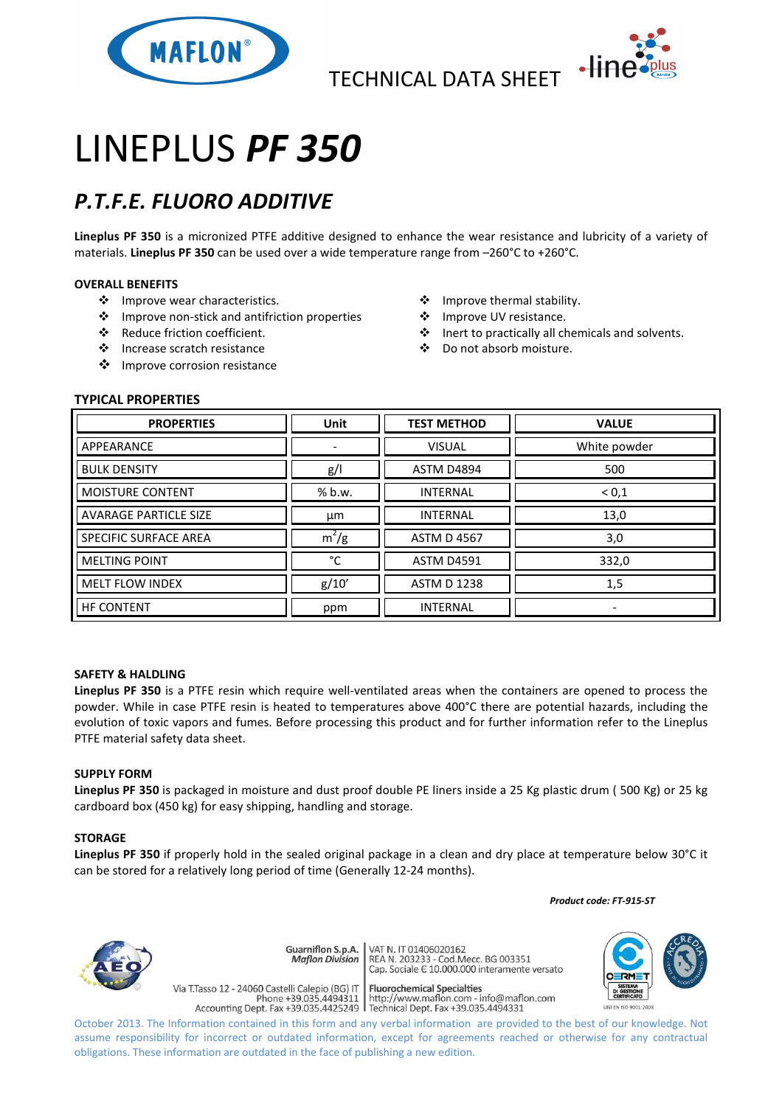



# LINEPLUS *PF 350*

# *P.T.F.E. FLUORO ADDITIVE*

**Lineplus PF 350** is a micronized PTFE additive designed to enhance the wear resistance and lubricity of a variety of materials. **Lineplus PF 350** can be used over a wide temperature range from –260°C to +260°C.

# **OVERALL BENEFITS**

- ❖ Improve wear characteristics.
- Improve non-stick and antifriction properties
- Reduce friction coefficient.
- Increase scratch resistance
- ❖ Improve corrosion resistance
- Improve thermal stability.
- ❖ Improve UV resistance.
- Inert to practically all chemicals and solvents.
- Do not absorb moisture.

# **TYPICAL PROPERTIES**

| <b>PROPERTIES</b>            | <b>Unit</b> | <b>TEST METHOD</b> | <b>VALUE</b> |
|------------------------------|-------------|--------------------|--------------|
| APPEARANCE                   |             | <b>VISUAL</b>      | White powder |
| <b>BULK DENSITY</b>          | g/          | <b>ASTM D4894</b>  | 500          |
| <b>MOISTURE CONTENT</b>      | % b.w.      | <b>INTERNAL</b>    | < 0, 1       |
| <b>AVARAGE PARTICLE SIZE</b> | μm          | <b>INTERNAL</b>    | 13,0         |
| <b>SPECIFIC SURFACE AREA</b> | $m^2/g$     | <b>ASTM D 4567</b> | 3,0          |
| <b>MELTING POINT</b>         | °C          | <b>ASTM D4591</b>  | 332,0        |
| <b>MELT FLOW INDEX</b>       | g/10'       | <b>ASTM D 1238</b> | 1,5          |
| <b>HF CONTENT</b>            | ppm         | <b>INTERNAL</b>    | ۰            |

### **SAFETY & HALDLING**

**Lineplus PF 350** is a PTFE resin which require well-ventilated areas when the containers are opened to process the powder. While in case PTFE resin is heated to temperatures above 400°C there are potential hazards, including the evolution of toxic vapors and fumes. Before processing this product and for further information refer to the Lineplus PTFE material safety data sheet.

### **SUPPLY FORM**

**Lineplus PF 350** is packaged in moisture and dust proof double PE liners inside a 25 Kg plastic drum ( 500 Kg) or 25 kg cardboard box (450 kg) for easy shipping, handling and storage.

### **STORAGE**

**Lineplus PF 350** if properly hold in the sealed original package in a clean and dry place at temperature below 30°C it can be stored for a relatively long period of time (Generally 12-24 months).

 *Product code: FT-915-ST*



VAT N. IT 01406020162 Guarniflon S.p.A. **Maflon Division Fluorochemical Specialties** 

Via T.Tasso 12 - 24060 Castelli Calepio (BG) IT rideso 12 - 24060 Castelli Calepio (BG) if<br>Phone +39.035.4494311 http://www.maflon.com - info@maflon.com<br>Accounting Dept. Fax +39.035.4425249 Technical Dept. Fax +39.035.4494331

REA N. 11 01400020102<br>REA N. 203233 - Cod.Mecc. BG 003351<br>Cap. Sociale E 10.000.000 interamente versato

October 2013. The Information contained in this form and any verbal information are provided to the best of our knowledge. Not assume responsibility for incorrect or outdated information, except for agreements reached or otherwise for any contractual obligations. These information are outdated in the face of publishing a new edition.